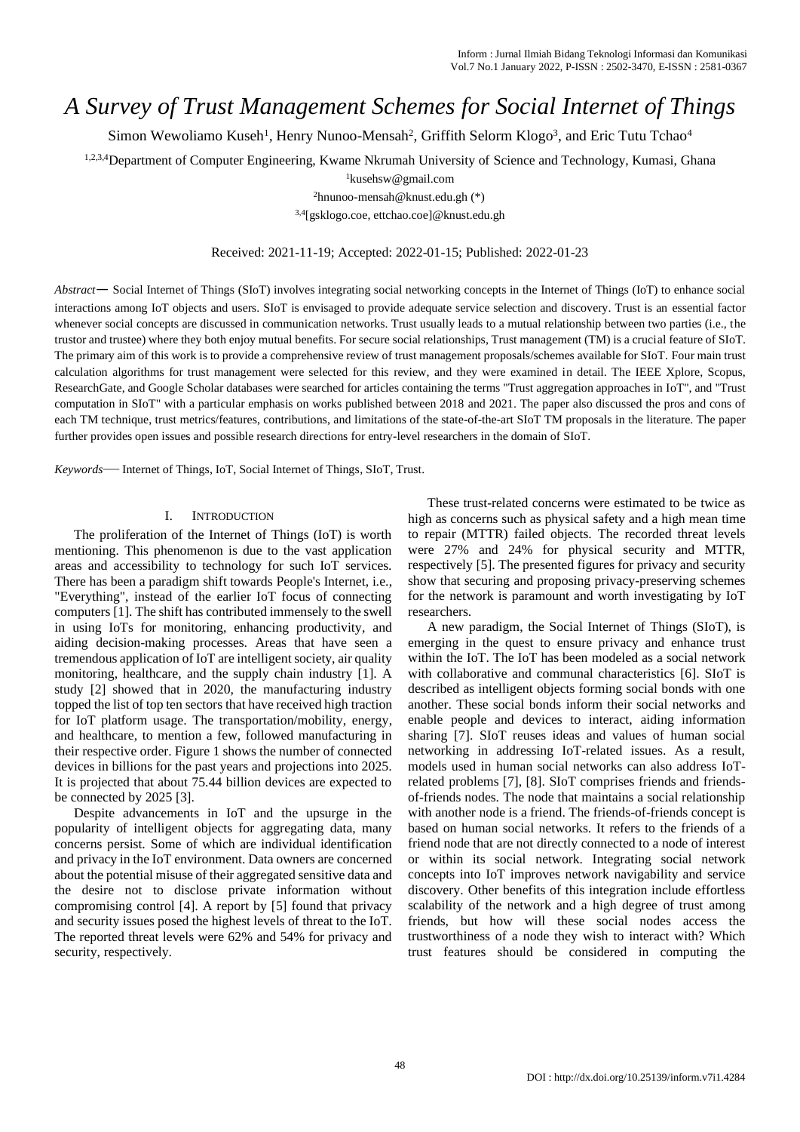# *A Survey of Trust Management Schemes for Social Internet of Things*

Simon Wewoliamo Kuseh<sup>1</sup>, Henry Nunoo-Mensah<sup>2</sup>, Griffith Selorm Klogo<sup>3</sup>, and Eric Tutu Tchao<sup>4</sup>

1,2,3,4Department of Computer Engineering, Kwame Nkrumah University of Science and Technology, Kumasi, Ghana

<sup>1</sup>kusehsw@gmail.com

<sup>2</sup>hnunoo-mensah@knust.edu.gh (\*)

3,4[gsklogo.coe, ettchao.coe]@knust.edu.gh

#### Received: 2021-11-19; Accepted: 2022-01-15; Published: 2022-01-23

*Abstract*— Social Internet of Things (SIoT) involves integrating social networking concepts in the Internet of Things (IoT) to enhance social interactions among IoT objects and users. SIoT is envisaged to provide adequate service selection and discovery. Trust is an essential factor whenever social concepts are discussed in communication networks. Trust usually leads to a mutual relationship between two parties (i.e., the trustor and trustee) where they both enjoy mutual benefits. For secure social relationships, Trust management (TM) is a crucial feature of SIoT. The primary aim of this work is to provide a comprehensive review of trust management proposals/schemes available for SIoT. Four main trust calculation algorithms for trust management were selected for this review, and they were examined in detail. The IEEE Xplore, Scopus, ResearchGate, and Google Scholar databases were searched for articles containing the terms "Trust aggregation approaches in IoT", and "Trust computation in SIoT" with a particular emphasis on works published between 2018 and 2021. The paper also discussed the pros and cons of each TM technique, trust metrics/features, contributions, and limitations of the state-of-the-art SIoT TM proposals in the literature. The paper further provides open issues and possible research directions for entry-level researchers in the domain of SIoT.

*Keywords*— Internet of Things, IoT, Social Internet of Things, SIoT, Trust.

#### I. INTRODUCTION

The proliferation of the Internet of Things (IoT) is worth mentioning. This phenomenon is due to the vast application areas and accessibility to technology for such IoT services. There has been a paradigm shift towards People's Internet, i.e., "Everything", instead of the earlier IoT focus of connecting computers [1]. The shift has contributed immensely to the swell in using IoTs for monitoring, enhancing productivity, and aiding decision-making processes. Areas that have seen a tremendous application of IoT are intelligent society, air quality monitoring, healthcare, and the supply chain industry [1]. A study [2] showed that in 2020, the manufacturing industry topped the list of top ten sectors that have received high traction for IoT platform usage. The transportation/mobility, energy, and healthcare, to mention a few, followed manufacturing in their respective order. Figure 1 shows the number of connected devices in billions for the past years and projections into 2025. It is projected that about 75.44 billion devices are expected to be connected by 2025 [3].

Despite advancements in IoT and the upsurge in the popularity of intelligent objects for aggregating data, many concerns persist. Some of which are individual identification and privacy in the IoT environment. Data owners are concerned about the potential misuse of their aggregated sensitive data and the desire not to disclose private information without compromising control [4]. A report by [5] found that privacy and security issues posed the highest levels of threat to the IoT. The reported threat levels were 62% and 54% for privacy and security, respectively.

These trust-related concerns were estimated to be twice as high as concerns such as physical safety and a high mean time to repair (MTTR) failed objects. The recorded threat levels were 27% and 24% for physical security and MTTR, respectively [5]. The presented figures for privacy and security show that securing and proposing privacy-preserving schemes for the network is paramount and worth investigating by IoT researchers.

A new paradigm, the Social Internet of Things (SIoT), is emerging in the quest to ensure privacy and enhance trust within the IoT. The IoT has been modeled as a social network with collaborative and communal characteristics [6]. SIoT is described as intelligent objects forming social bonds with one another. These social bonds inform their social networks and enable people and devices to interact, aiding information sharing [7]. SIoT reuses ideas and values of human social networking in addressing IoT-related issues. As a result, models used in human social networks can also address IoTrelated problems [7], [8]. SIoT comprises friends and friendsof-friends nodes. The node that maintains a social relationship with another node is a friend. The friends-of-friends concept is based on human social networks. It refers to the friends of a friend node that are not directly connected to a node of interest or within its social network. Integrating social network concepts into IoT improves network navigability and service discovery. Other benefits of this integration include effortless scalability of the network and a high degree of trust among friends, but how will these social nodes access the trustworthiness of a node they wish to interact with? Which trust features should be considered in computing the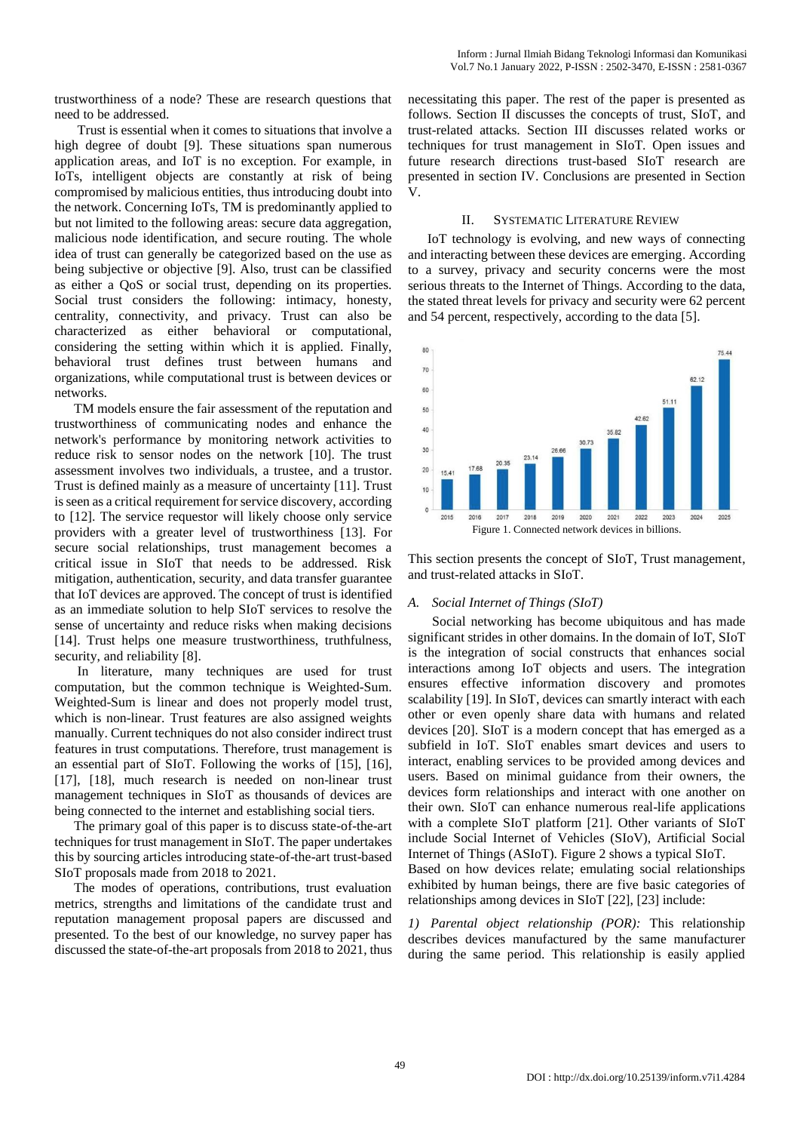trustworthiness of a node? These are research questions that need to be addressed.

Trust is essential when it comes to situations that involve a high degree of doubt [9]. These situations span numerous application areas, and IoT is no exception. For example, in IoTs, intelligent objects are constantly at risk of being compromised by malicious entities, thus introducing doubt into the network. Concerning IoTs, TM is predominantly applied to but not limited to the following areas: secure data aggregation, malicious node identification, and secure routing. The whole idea of trust can generally be categorized based on the use as being subjective or objective [9]. Also, trust can be classified as either a QoS or social trust, depending on its properties. Social trust considers the following: intimacy, honesty, centrality, connectivity, and privacy. Trust can also be characterized as either behavioral or computational, considering the setting within which it is applied. Finally, behavioral trust defines trust between humans and organizations, while computational trust is between devices or networks.

TM models ensure the fair assessment of the reputation and trustworthiness of communicating nodes and enhance the network's performance by monitoring network activities to reduce risk to sensor nodes on the network [10]. The trust assessment involves two individuals, a trustee, and a trustor. Trust is defined mainly as a measure of uncertainty [11]. Trust is seen as a critical requirement for service discovery, according to [12]. The service requestor will likely choose only service providers with a greater level of trustworthiness [13]. For secure social relationships, trust management becomes a critical issue in SIoT that needs to be addressed. Risk mitigation, authentication, security, and data transfer guarantee that IoT devices are approved. The concept of trust is identified as an immediate solution to help SIoT services to resolve the sense of uncertainty and reduce risks when making decisions [14]. Trust helps one measure trustworthiness, truthfulness, security, and reliability [8].

In literature, many techniques are used for trust computation, but the common technique is Weighted-Sum. Weighted-Sum is linear and does not properly model trust, which is non-linear. Trust features are also assigned weights manually. Current techniques do not also consider indirect trust features in trust computations. Therefore, trust management is an essential part of SIoT. Following the works of [15], [16], [17], [18], much research is needed on non-linear trust management techniques in SIoT as thousands of devices are being connected to the internet and establishing social tiers.

The primary goal of this paper is to discuss state-of-the-art techniques for trust management in SIoT. The paper undertakes this by sourcing articles introducing state-of-the-art trust-based SIoT proposals made from 2018 to 2021.

The modes of operations, contributions, trust evaluation metrics, strengths and limitations of the candidate trust and reputation management proposal papers are discussed and presented. To the best of our knowledge, no survey paper has discussed the state-of-the-art proposals from 2018 to 2021, thus necessitating this paper. The rest of the paper is presented as follows. Section II discusses the concepts of trust, SIoT, and trust-related attacks. Section III discusses related works or techniques for trust management in SIoT. Open issues and future research directions trust-based SIoT research are presented in section IV. Conclusions are presented in Section V.

#### II. SYSTEMATIC LITERATURE REVIEW

IoT technology is evolving, and new ways of connecting and interacting between these devices are emerging. According to a survey, privacy and security concerns were the most serious threats to the Internet of Things. According to the data, the stated threat levels for privacy and security were 62 percent and 54 percent, respectively, according to the data [5].



This section presents the concept of SIoT, Trust management, and trust-related attacks in SIoT.

## *A. Social Internet of Things (SIoT)*

Social networking has become ubiquitous and has made significant strides in other domains. In the domain of IoT, SIoT is the integration of social constructs that enhances social interactions among IoT objects and users. The integration ensures effective information discovery and promotes scalability [19]. In SIoT, devices can smartly interact with each other or even openly share data with humans and related devices [20]. SIoT is a modern concept that has emerged as a subfield in IoT. SIoT enables smart devices and users to interact, enabling services to be provided among devices and users. Based on minimal guidance from their owners, the devices form relationships and interact with one another on their own. SIoT can enhance numerous real-life applications with a complete SIoT platform [21]. Other variants of SIoT include Social Internet of Vehicles (SIoV), Artificial Social Internet of Things (ASIoT). Figure 2 shows a typical SIoT. Based on how devices relate; emulating social relationships

exhibited by human beings, there are five basic categories of relationships among devices in SIoT [22], [23] include:

*1) Parental object relationship (POR):* This relationship describes devices manufactured by the same manufacturer during the same period. This relationship is easily applied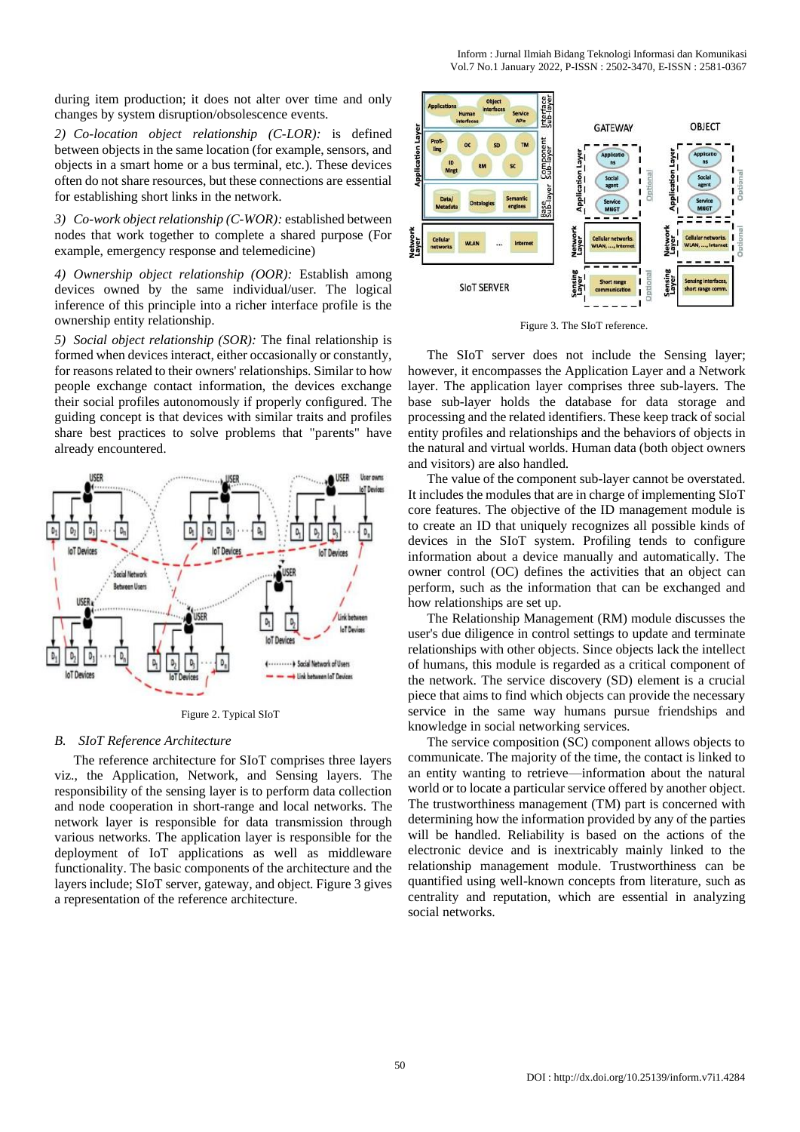during item production; it does not alter over time and only changes by system disruption/obsolescence events.

*2) Co-location object relationship (C-LOR):* is defined between objects in the same location (for example, sensors, and objects in a smart home or a bus terminal, etc.). These devices often do not share resources, but these connections are essential for establishing short links in the network.

*3) Co-work object relationship (C-WOR):* established between nodes that work together to complete a shared purpose (For example, emergency response and telemedicine)

*4) Ownership object relationship (OOR):* Establish among devices owned by the same individual/user. The logical inference of this principle into a richer interface profile is the ownership entity relationship.

*5) Social object relationship (SOR):* The final relationship is formed when devices interact, either occasionally or constantly, for reasons related to their owners' relationships. Similar to how people exchange contact information, the devices exchange their social profiles autonomously if properly configured. The guiding concept is that devices with similar traits and profiles share best practices to solve problems that "parents" have already encountered.



Figure 2. Typical SIoT

# *B. SIoT Reference Architecture*

The reference architecture for SIoT comprises three layers viz., the Application, Network, and Sensing layers. The responsibility of the sensing layer is to perform data collection and node cooperation in short-range and local networks. The network layer is responsible for data transmission through various networks. The application layer is responsible for the deployment of IoT applications as well as middleware functionality. The basic components of the architecture and the layers include; SIoT server, gateway, and object. Figure 3 gives a representation of the reference architecture.



Figure 3. The SIoT reference.

The SIoT server does not include the Sensing layer; however, it encompasses the Application Layer and a Network layer. The application layer comprises three sub-layers. The base sub-layer holds the database for data storage and processing and the related identifiers. These keep track of social entity profiles and relationships and the behaviors of objects in the natural and virtual worlds. Human data (both object owners and visitors) are also handled.

The value of the component sub-layer cannot be overstated. It includes the modules that are in charge of implementing SIoT core features. The objective of the ID management module is to create an ID that uniquely recognizes all possible kinds of devices in the SIoT system. Profiling tends to configure information about a device manually and automatically. The owner control (OC) defines the activities that an object can perform, such as the information that can be exchanged and how relationships are set up.

The Relationship Management (RM) module discusses the user's due diligence in control settings to update and terminate relationships with other objects. Since objects lack the intellect of humans, this module is regarded as a critical component of the network. The service discovery (SD) element is a crucial piece that aims to find which objects can provide the necessary service in the same way humans pursue friendships and knowledge in social networking services.

The service composition (SC) component allows objects to communicate. The majority of the time, the contact is linked to an entity wanting to retrieve—information about the natural world or to locate a particular service offered by another object. The trustworthiness management (TM) part is concerned with determining how the information provided by any of the parties will be handled. Reliability is based on the actions of the electronic device and is inextricably mainly linked to the relationship management module. Trustworthiness can be quantified using well-known concepts from literature, such as centrality and reputation, which are essential in analyzing social networks.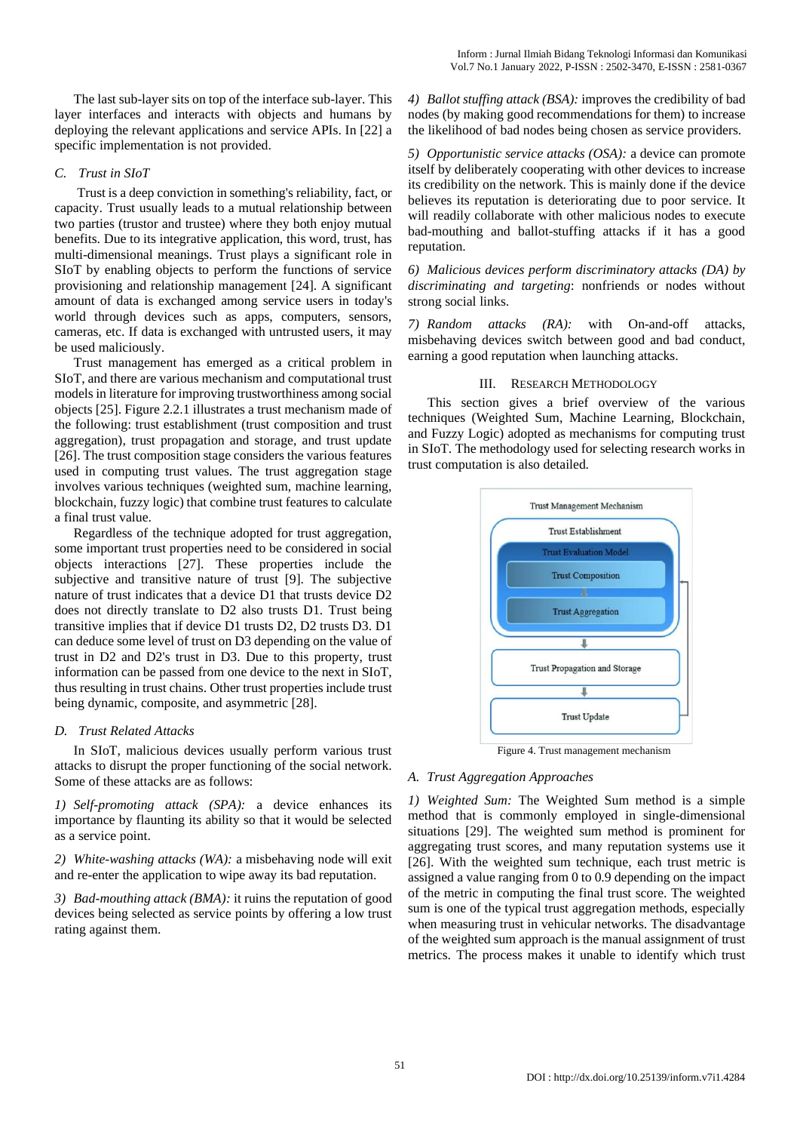The last sub-layer sits on top of the interface sub-layer. This layer interfaces and interacts with objects and humans by deploying the relevant applications and service APIs. In [22] a specific implementation is not provided.

## *C. Trust in SIoT*

Trust is a deep conviction in something's reliability, fact, or capacity. Trust usually leads to a mutual relationship between two parties (trustor and trustee) where they both enjoy mutual benefits. Due to its integrative application, this word, trust, has multi-dimensional meanings. Trust plays a significant role in SIoT by enabling objects to perform the functions of service provisioning and relationship management [24]. A significant amount of data is exchanged among service users in today's world through devices such as apps, computers, sensors, cameras, etc. If data is exchanged with untrusted users, it may be used maliciously.

Trust management has emerged as a critical problem in SIoT, and there are various mechanism and computational trust models in literature for improving trustworthiness among social objects [25]. Figure 2.2.1 illustrates a trust mechanism made of the following: trust establishment (trust composition and trust aggregation), trust propagation and storage, and trust update [26]. The trust composition stage considers the various features used in computing trust values. The trust aggregation stage involves various techniques (weighted sum, machine learning, blockchain, fuzzy logic) that combine trust features to calculate a final trust value.

Regardless of the technique adopted for trust aggregation, some important trust properties need to be considered in social objects interactions [27]. These properties include the subjective and transitive nature of trust [9]. The subjective nature of trust indicates that a device D1 that trusts device D2 does not directly translate to D2 also trusts D1. Trust being transitive implies that if device D1 trusts D2, D2 trusts D3. D1 can deduce some level of trust on D3 depending on the value of trust in D2 and D2's trust in D3. Due to this property, trust information can be passed from one device to the next in SIoT, thus resulting in trust chains. Other trust properties include trust being dynamic, composite, and asymmetric [28].

## *D. Trust Related Attacks*

In SIoT, malicious devices usually perform various trust attacks to disrupt the proper functioning of the social network. Some of these attacks are as follows:

*1) Self-promoting attack (SPA):* a device enhances its importance by flaunting its ability so that it would be selected as a service point.

*2) White-washing attacks (WA):* a misbehaving node will exit and re-enter the application to wipe away its bad reputation.

*3) Bad-mouthing attack (BMA):* it ruins the reputation of good devices being selected as service points by offering a low trust rating against them.

*4) Ballot stuffing attack (BSA):* improves the credibility of bad nodes (by making good recommendations for them) to increase the likelihood of bad nodes being chosen as service providers.

*5) Opportunistic service attacks (OSA):* a device can promote itself by deliberately cooperating with other devices to increase its credibility on the network. This is mainly done if the device believes its reputation is deteriorating due to poor service. It will readily collaborate with other malicious nodes to execute bad-mouthing and ballot-stuffing attacks if it has a good reputation.

*6) Malicious devices perform discriminatory attacks (DA) by discriminating and targeting*: nonfriends or nodes without strong social links.

*7) Random attacks (RA):* with On-and-off attacks, misbehaving devices switch between good and bad conduct, earning a good reputation when launching attacks.

# III. RESEARCH METHODOLOGY

This section gives a brief overview of the various techniques (Weighted Sum, Machine Learning, Blockchain, and Fuzzy Logic) adopted as mechanisms for computing trust in SIoT. The methodology used for selecting research works in trust computation is also detailed.



Figure 4. Trust management mechanism

# *A. Trust Aggregation Approaches*

*1) Weighted Sum:* The Weighted Sum method is a simple method that is commonly employed in single-dimensional situations [29]. The weighted sum method is prominent for aggregating trust scores, and many reputation systems use it [26]. With the weighted sum technique, each trust metric is assigned a value ranging from 0 to 0.9 depending on the impact of the metric in computing the final trust score. The weighted sum is one of the typical trust aggregation methods, especially when measuring trust in vehicular networks. The disadvantage of the weighted sum approach is the manual assignment of trust metrics. The process makes it unable to identify which trust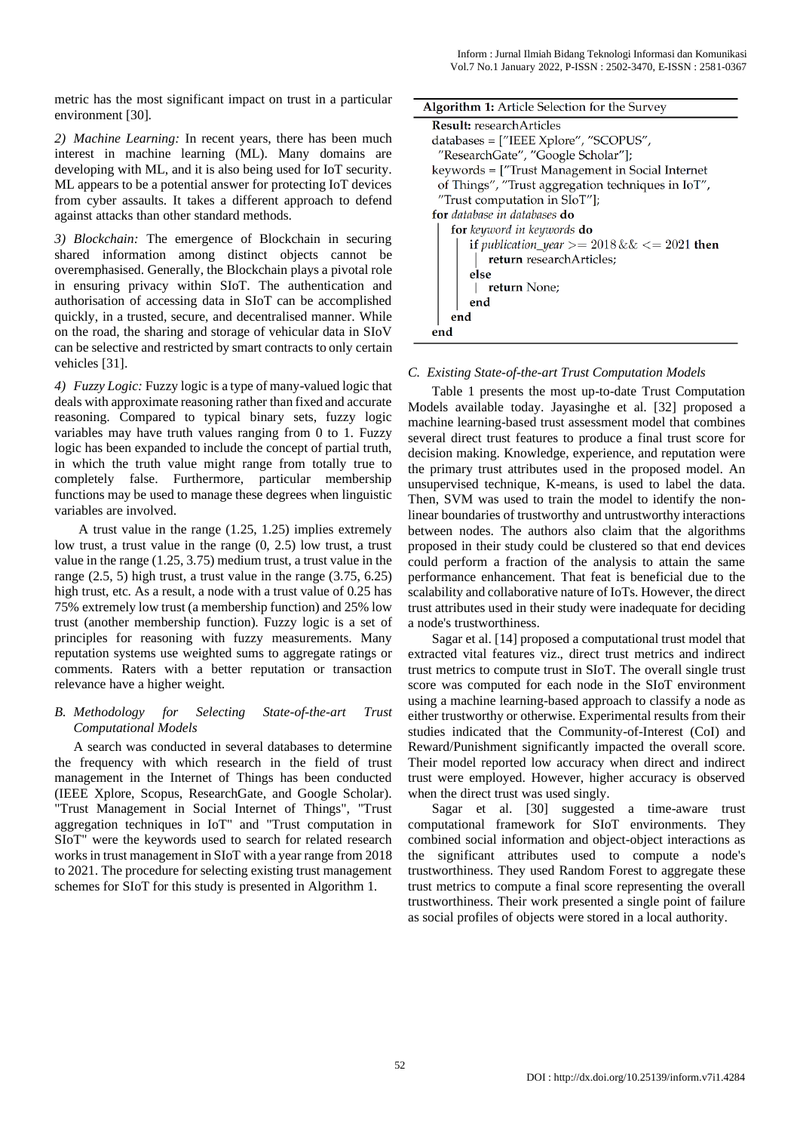metric has the most significant impact on trust in a particular environment [30].

*2) Machine Learning:* In recent years, there has been much interest in machine learning (ML). Many domains are developing with ML, and it is also being used for IoT security. ML appears to be a potential answer for protecting IoT devices from cyber assaults. It takes a different approach to defend against attacks than other standard methods.

*3) Blockchain:* The emergence of Blockchain in securing shared information among distinct objects cannot be overemphasised. Generally, the Blockchain plays a pivotal role in ensuring privacy within SIoT. The authentication and authorisation of accessing data in SIoT can be accomplished quickly, in a trusted, secure, and decentralised manner. While on the road, the sharing and storage of vehicular data in SIoV can be selective and restricted by smart contracts to only certain vehicles [31].

*4) Fuzzy Logic:*Fuzzy logic is a type of many-valued logic that deals with approximate reasoning rather than fixed and accurate reasoning. Compared to typical binary sets, fuzzy logic variables may have truth values ranging from 0 to 1. Fuzzy logic has been expanded to include the concept of partial truth, in which the truth value might range from totally true to completely false. Furthermore, particular membership functions may be used to manage these degrees when linguistic variables are involved.

A trust value in the range (1.25, 1.25) implies extremely low trust, a trust value in the range (0, 2.5) low trust, a trust value in the range (1.25, 3.75) medium trust, a trust value in the range (2.5, 5) high trust, a trust value in the range (3.75, 6.25) high trust, etc. As a result, a node with a trust value of 0.25 has 75% extremely low trust (a membership function) and 25% low trust (another membership function). Fuzzy logic is a set of principles for reasoning with fuzzy measurements. Many reputation systems use weighted sums to aggregate ratings or comments. Raters with a better reputation or transaction relevance have a higher weight.

# *B. Methodology for Selecting State-of-the-art Trust Computational Models*

A search was conducted in several databases to determine the frequency with which research in the field of trust management in the Internet of Things has been conducted (IEEE Xplore, Scopus, ResearchGate, and Google Scholar). "Trust Management in Social Internet of Things", "Trust aggregation techniques in IoT" and "Trust computation in SIoT" were the keywords used to search for related research works in trust management in SIoT with a year range from 2018 to 2021. The procedure for selecting existing trust management schemes for SIoT for this study is presented in Algorithm 1.

| <b>Algorithm 1:</b> Article Selection for the Survey |  |  |  |  |
|------------------------------------------------------|--|--|--|--|
| <b>Result:</b> research Articles                     |  |  |  |  |
| databases = ["IEEE Xplore", "SCOPUS",                |  |  |  |  |
| "ResearchGate", "Google Scholar"];                   |  |  |  |  |
| keywords = ["Trust Management in Social Internet     |  |  |  |  |
| of Things", "Trust aggregation techniques in IoT",   |  |  |  |  |
| "Trust computation in SIoT"];                        |  |  |  |  |
| for database in databases do                         |  |  |  |  |
| <b>for</b> keyword in keywords <b>do</b>             |  |  |  |  |
| if publication_year >= $2018 \&\& \le 2021$ then     |  |  |  |  |
| return researchArticles;                             |  |  |  |  |
| else                                                 |  |  |  |  |
| return None;                                         |  |  |  |  |
| end                                                  |  |  |  |  |
| end                                                  |  |  |  |  |
|                                                      |  |  |  |  |

# *C. Existing State-of-the-art Trust Computation Models*

Table 1 presents the most up-to-date Trust Computation Models available today. Jayasinghe et al. [32] proposed a machine learning-based trust assessment model that combines several direct trust features to produce a final trust score for decision making. Knowledge, experience, and reputation were the primary trust attributes used in the proposed model. An unsupervised technique, K-means, is used to label the data. Then, SVM was used to train the model to identify the nonlinear boundaries of trustworthy and untrustworthy interactions between nodes. The authors also claim that the algorithms proposed in their study could be clustered so that end devices could perform a fraction of the analysis to attain the same performance enhancement. That feat is beneficial due to the scalability and collaborative nature of IoTs. However, the direct trust attributes used in their study were inadequate for deciding a node's trustworthiness.

Sagar et al. [14] proposed a computational trust model that extracted vital features viz., direct trust metrics and indirect trust metrics to compute trust in SIoT. The overall single trust score was computed for each node in the SIoT environment using a machine learning-based approach to classify a node as either trustworthy or otherwise. Experimental results from their studies indicated that the Community-of-Interest (CoI) and Reward/Punishment significantly impacted the overall score. Their model reported low accuracy when direct and indirect trust were employed. However, higher accuracy is observed when the direct trust was used singly.

Sagar et al. [30] suggested a time-aware trust computational framework for SIoT environments. They combined social information and object-object interactions as the significant attributes used to compute a node's trustworthiness. They used Random Forest to aggregate these trust metrics to compute a final score representing the overall trustworthiness. Their work presented a single point of failure as social profiles of objects were stored in a local authority.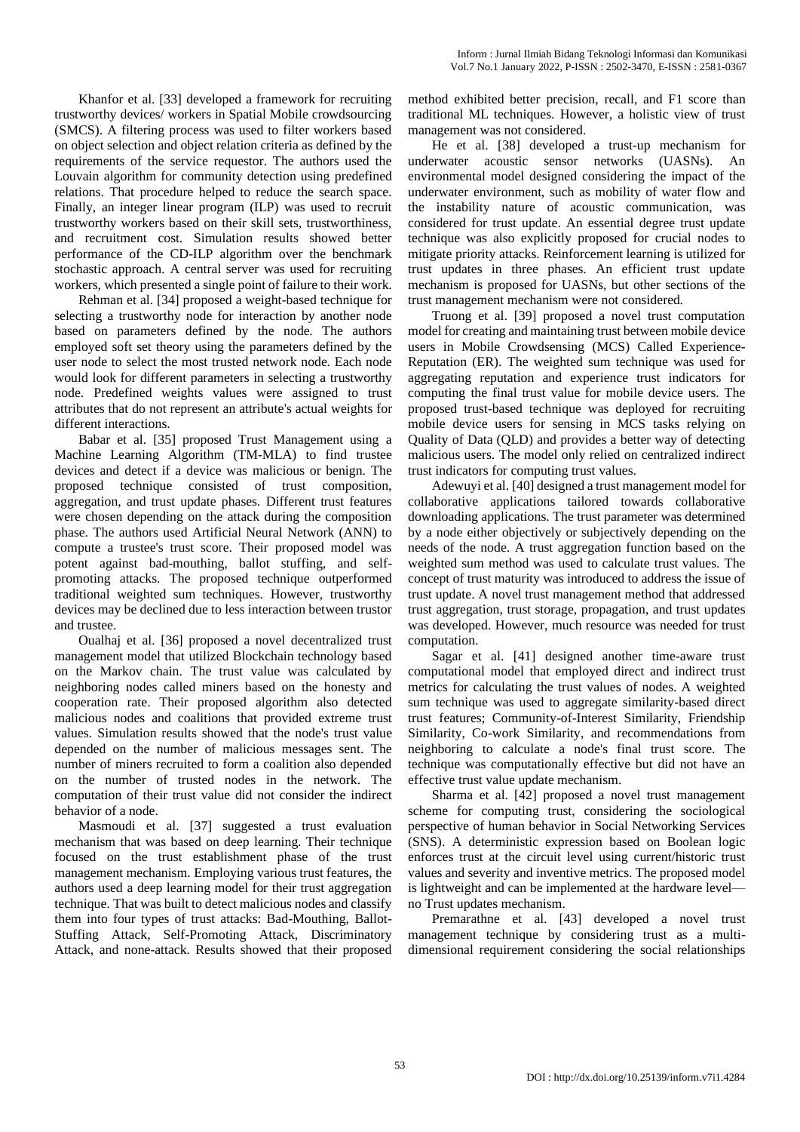Khanfor et al. [33] developed a framework for recruiting trustworthy devices/ workers in Spatial Mobile crowdsourcing (SMCS). A filtering process was used to filter workers based on object selection and object relation criteria as defined by the requirements of the service requestor. The authors used the Louvain algorithm for community detection using predefined relations. That procedure helped to reduce the search space. Finally, an integer linear program (ILP) was used to recruit trustworthy workers based on their skill sets, trustworthiness, and recruitment cost. Simulation results showed better performance of the CD-ILP algorithm over the benchmark stochastic approach. A central server was used for recruiting workers, which presented a single point of failure to their work.

Rehman et al. [34] proposed a weight-based technique for selecting a trustworthy node for interaction by another node based on parameters defined by the node. The authors employed soft set theory using the parameters defined by the user node to select the most trusted network node. Each node would look for different parameters in selecting a trustworthy node. Predefined weights values were assigned to trust attributes that do not represent an attribute's actual weights for different interactions.

Babar et al. [35] proposed Trust Management using a Machine Learning Algorithm (TM-MLA) to find trustee devices and detect if a device was malicious or benign. The proposed technique consisted of trust composition, aggregation, and trust update phases. Different trust features were chosen depending on the attack during the composition phase. The authors used Artificial Neural Network (ANN) to compute a trustee's trust score. Their proposed model was potent against bad-mouthing, ballot stuffing, and selfpromoting attacks. The proposed technique outperformed traditional weighted sum techniques. However, trustworthy devices may be declined due to less interaction between trustor and trustee.

Oualhaj et al. [36] proposed a novel decentralized trust management model that utilized Blockchain technology based on the Markov chain. The trust value was calculated by neighboring nodes called miners based on the honesty and cooperation rate. Their proposed algorithm also detected malicious nodes and coalitions that provided extreme trust values. Simulation results showed that the node's trust value depended on the number of malicious messages sent. The number of miners recruited to form a coalition also depended on the number of trusted nodes in the network. The computation of their trust value did not consider the indirect behavior of a node.

Masmoudi et al. [37] suggested a trust evaluation mechanism that was based on deep learning. Their technique focused on the trust establishment phase of the trust management mechanism. Employing various trust features, the authors used a deep learning model for their trust aggregation technique. That was built to detect malicious nodes and classify them into four types of trust attacks: Bad-Mouthing, Ballot-Stuffing Attack, Self-Promoting Attack, Discriminatory Attack, and none-attack. Results showed that their proposed

method exhibited better precision, recall, and F1 score than traditional ML techniques. However, a holistic view of trust management was not considered.

He et al. [38] developed a trust-up mechanism for underwater acoustic sensor networks (UASNs). An environmental model designed considering the impact of the underwater environment, such as mobility of water flow and the instability nature of acoustic communication, was considered for trust update. An essential degree trust update technique was also explicitly proposed for crucial nodes to mitigate priority attacks. Reinforcement learning is utilized for trust updates in three phases. An efficient trust update mechanism is proposed for UASNs, but other sections of the trust management mechanism were not considered.

Truong et al. [39] proposed a novel trust computation model for creating and maintaining trust between mobile device users in Mobile Crowdsensing (MCS) Called Experience-Reputation (ER). The weighted sum technique was used for aggregating reputation and experience trust indicators for computing the final trust value for mobile device users. The proposed trust-based technique was deployed for recruiting mobile device users for sensing in MCS tasks relying on Quality of Data (QLD) and provides a better way of detecting malicious users. The model only relied on centralized indirect trust indicators for computing trust values.

Adewuyi et al. [40] designed a trust management model for collaborative applications tailored towards collaborative downloading applications. The trust parameter was determined by a node either objectively or subjectively depending on the needs of the node. A trust aggregation function based on the weighted sum method was used to calculate trust values. The concept of trust maturity was introduced to address the issue of trust update. A novel trust management method that addressed trust aggregation, trust storage, propagation, and trust updates was developed. However, much resource was needed for trust computation.

Sagar et al. [41] designed another time-aware trust computational model that employed direct and indirect trust metrics for calculating the trust values of nodes. A weighted sum technique was used to aggregate similarity-based direct trust features; Community-of-Interest Similarity, Friendship Similarity, Co-work Similarity, and recommendations from neighboring to calculate a node's final trust score. The technique was computationally effective but did not have an effective trust value update mechanism.

Sharma et al. [42] proposed a novel trust management scheme for computing trust, considering the sociological perspective of human behavior in Social Networking Services (SNS). A deterministic expression based on Boolean logic enforces trust at the circuit level using current/historic trust values and severity and inventive metrics. The proposed model is lightweight and can be implemented at the hardware level no Trust updates mechanism.

Premarathne et al. [43] developed a novel trust management technique by considering trust as a multidimensional requirement considering the social relationships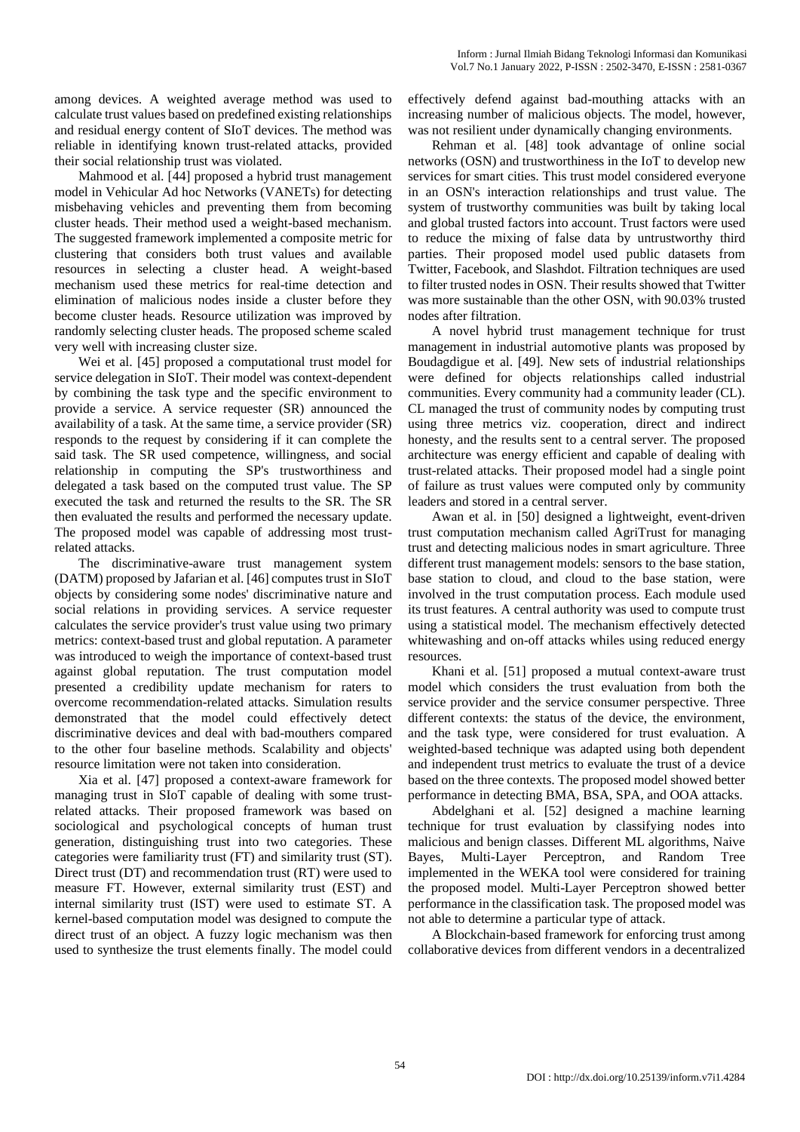among devices. A weighted average method was used to calculate trust values based on predefined existing relationships and residual energy content of SIoT devices. The method was reliable in identifying known trust-related attacks, provided their social relationship trust was violated.

Mahmood et al. [44] proposed a hybrid trust management model in Vehicular Ad hoc Networks (VANETs) for detecting misbehaving vehicles and preventing them from becoming cluster heads. Their method used a weight-based mechanism. The suggested framework implemented a composite metric for clustering that considers both trust values and available resources in selecting a cluster head. A weight-based mechanism used these metrics for real-time detection and elimination of malicious nodes inside a cluster before they become cluster heads. Resource utilization was improved by randomly selecting cluster heads. The proposed scheme scaled very well with increasing cluster size.

Wei et al. [45] proposed a computational trust model for service delegation in SIoT. Their model was context-dependent by combining the task type and the specific environment to provide a service. A service requester (SR) announced the availability of a task. At the same time, a service provider (SR) responds to the request by considering if it can complete the said task. The SR used competence, willingness, and social relationship in computing the SP's trustworthiness and delegated a task based on the computed trust value. The SP executed the task and returned the results to the SR. The SR then evaluated the results and performed the necessary update. The proposed model was capable of addressing most trustrelated attacks.

The discriminative-aware trust management system (DATM) proposed by Jafarian et al. [46] computes trust in SIoT objects by considering some nodes' discriminative nature and social relations in providing services. A service requester calculates the service provider's trust value using two primary metrics: context-based trust and global reputation. A parameter was introduced to weigh the importance of context-based trust against global reputation. The trust computation model presented a credibility update mechanism for raters to overcome recommendation-related attacks. Simulation results demonstrated that the model could effectively detect discriminative devices and deal with bad-mouthers compared to the other four baseline methods. Scalability and objects' resource limitation were not taken into consideration.

Xia et al. [47] proposed a context-aware framework for managing trust in SIoT capable of dealing with some trustrelated attacks. Their proposed framework was based on sociological and psychological concepts of human trust generation, distinguishing trust into two categories. These categories were familiarity trust (FT) and similarity trust (ST). Direct trust (DT) and recommendation trust (RT) were used to measure FT. However, external similarity trust (EST) and internal similarity trust (IST) were used to estimate ST. A kernel-based computation model was designed to compute the direct trust of an object. A fuzzy logic mechanism was then used to synthesize the trust elements finally. The model could

effectively defend against bad-mouthing attacks with an increasing number of malicious objects. The model, however, was not resilient under dynamically changing environments.

Rehman et al. [48] took advantage of online social networks (OSN) and trustworthiness in the IoT to develop new services for smart cities. This trust model considered everyone in an OSN's interaction relationships and trust value. The system of trustworthy communities was built by taking local and global trusted factors into account. Trust factors were used to reduce the mixing of false data by untrustworthy third parties. Their proposed model used public datasets from Twitter, Facebook, and Slashdot. Filtration techniques are used to filter trusted nodes in OSN. Their results showed that Twitter was more sustainable than the other OSN, with 90.03% trusted nodes after filtration.

A novel hybrid trust management technique for trust management in industrial automotive plants was proposed by Boudagdigue et al. [49]. New sets of industrial relationships were defined for objects relationships called industrial communities. Every community had a community leader (CL). CL managed the trust of community nodes by computing trust using three metrics viz. cooperation, direct and indirect honesty, and the results sent to a central server. The proposed architecture was energy efficient and capable of dealing with trust-related attacks. Their proposed model had a single point of failure as trust values were computed only by community leaders and stored in a central server.

Awan et al. in [50] designed a lightweight, event-driven trust computation mechanism called AgriTrust for managing trust and detecting malicious nodes in smart agriculture. Three different trust management models: sensors to the base station, base station to cloud, and cloud to the base station, were involved in the trust computation process. Each module used its trust features. A central authority was used to compute trust using a statistical model. The mechanism effectively detected whitewashing and on-off attacks whiles using reduced energy resources.

Khani et al. [51] proposed a mutual context-aware trust model which considers the trust evaluation from both the service provider and the service consumer perspective. Three different contexts: the status of the device, the environment, and the task type, were considered for trust evaluation. A weighted-based technique was adapted using both dependent and independent trust metrics to evaluate the trust of a device based on the three contexts. The proposed model showed better performance in detecting BMA, BSA, SPA, and OOA attacks.

Abdelghani et al. [52] designed a machine learning technique for trust evaluation by classifying nodes into malicious and benign classes. Different ML algorithms, Naive Bayes, Multi-Layer Perceptron, and Random Tree implemented in the WEKA tool were considered for training the proposed model. Multi-Layer Perceptron showed better performance in the classification task. The proposed model was not able to determine a particular type of attack.

A Blockchain-based framework for enforcing trust among collaborative devices from different vendors in a decentralized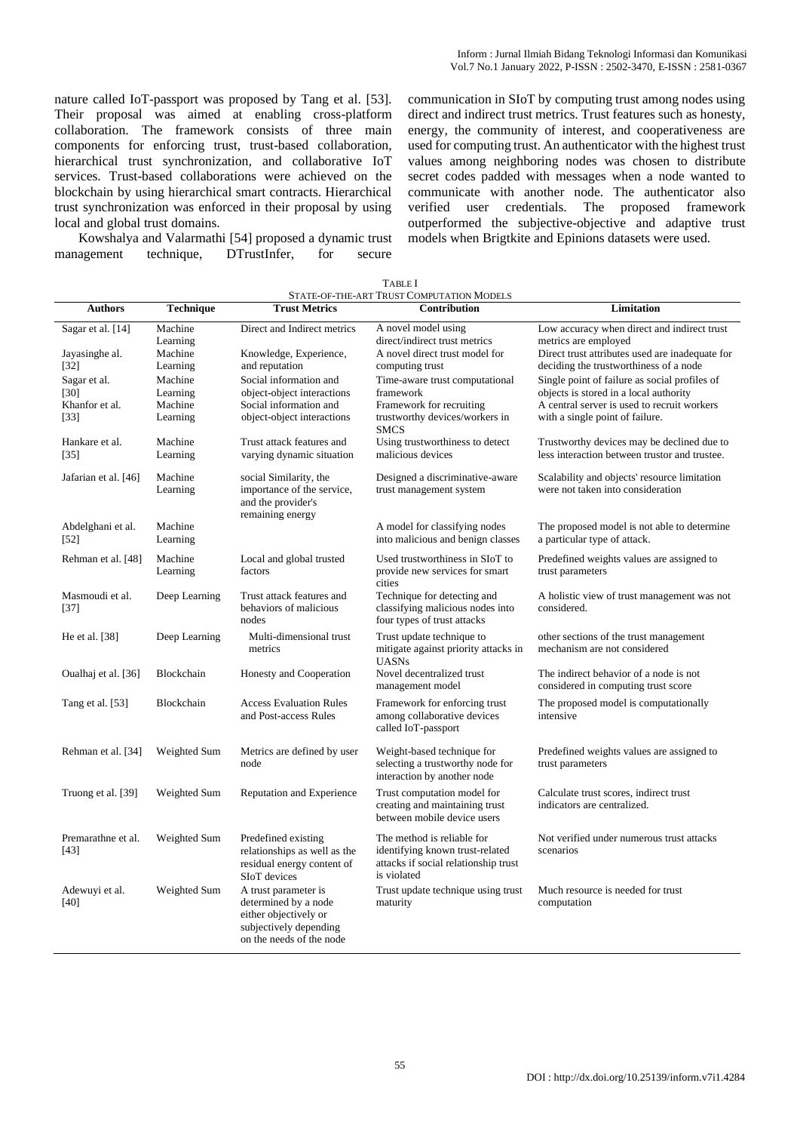nature called IoT-passport was proposed by Tang et al. [53]. Their proposal was aimed at enabling cross-platform collaboration. The framework consists of three main components for enforcing trust, trust-based collaboration, hierarchical trust synchronization, and collaborative IoT services. Trust-based collaborations were achieved on the blockchain by using hierarchical smart contracts. Hierarchical trust synchronization was enforced in their proposal by using local and global trust domains.

Kowshalya and Valarmathi [54] proposed a dynamic trust management technique, DTrustInfer, for secure

communication in SIoT by computing trust among nodes using direct and indirect trust metrics. Trust features such as honesty, energy, the community of interest, and cooperativeness are used for computing trust. An authenticator with the highest trust values among neighboring nodes was chosen to distribute secret codes padded with messages when a node wanted to communicate with another node. The authenticator also verified user credentials. The proposed framework outperformed the subjective-objective and adaptive trust models when Brigtkite and Epinions datasets were used.

|                                                  |                                            |                                                                                                                             | STATE-OF-THE-ART TRUST COMPUTATION MODELS                                                                            |                                                                                                                                                                           |
|--------------------------------------------------|--------------------------------------------|-----------------------------------------------------------------------------------------------------------------------------|----------------------------------------------------------------------------------------------------------------------|---------------------------------------------------------------------------------------------------------------------------------------------------------------------------|
| <b>Authors</b>                                   | <b>Technique</b>                           | <b>Trust Metrics</b>                                                                                                        | Contribution                                                                                                         | <b>Limitation</b>                                                                                                                                                         |
| Sagar et al. [14]                                | Machine<br>Learning                        | Direct and Indirect metrics                                                                                                 | A novel model using<br>direct/indirect trust metrics                                                                 | Low accuracy when direct and indirect trust<br>metrics are employed                                                                                                       |
| Jayasinghe al.<br>$[32]$                         | Machine<br>Learning                        | Knowledge, Experience,<br>and reputation                                                                                    | A novel direct trust model for<br>computing trust                                                                    | Direct trust attributes used are inadequate for<br>deciding the trustworthiness of a node                                                                                 |
| Sagar et al.<br>[30]<br>Khanfor et al.<br>$[33]$ | Machine<br>Learning<br>Machine<br>Learning | Social information and<br>object-object interactions<br>Social information and<br>object-object interactions                | Time-aware trust computational<br>framework<br>Framework for recruiting<br>trustworthy devices/workers in            | Single point of failure as social profiles of<br>objects is stored in a local authority<br>A central server is used to recruit workers<br>with a single point of failure. |
| Hankare et al.                                   | Machine                                    | Trust attack features and                                                                                                   | <b>SMCS</b><br>Using trustworthiness to detect                                                                       | Trustworthy devices may be declined due to                                                                                                                                |
| [35]                                             | Learning                                   | varying dynamic situation                                                                                                   | malicious devices                                                                                                    | less interaction between trustor and trustee.                                                                                                                             |
| Jafarian et al. [46]                             | Machine<br>Learning                        | social Similarity, the<br>importance of the service,<br>and the provider's<br>remaining energy                              | Designed a discriminative-aware<br>trust management system                                                           | Scalability and objects' resource limitation<br>were not taken into consideration                                                                                         |
| Abdelghani et al.<br>$[52]$                      | Machine<br>Learning                        |                                                                                                                             | A model for classifying nodes<br>into malicious and benign classes                                                   | The proposed model is not able to determine<br>a particular type of attack.                                                                                               |
| Rehman et al. [48]                               | Machine<br>Learning                        | Local and global trusted<br>factors                                                                                         | Used trustworthiness in SIoT to<br>provide new services for smart                                                    | Predefined weights values are assigned to<br>trust parameters                                                                                                             |
| Masmoudi et al.<br>$[37]$                        | Deep Learning                              | Trust attack features and<br>behaviors of malicious<br>nodes                                                                | cities<br>Technique for detecting and<br>classifying malicious nodes into<br>four types of trust attacks             | A holistic view of trust management was not<br>considered.                                                                                                                |
| He et al. [38]                                   | Deep Learning                              | Multi-dimensional trust<br>metrics                                                                                          | Trust update technique to<br>mitigate against priority attacks in<br><b>UASNs</b>                                    | other sections of the trust management<br>mechanism are not considered                                                                                                    |
| Oualhaj et al. [36]                              | Blockchain                                 | Honesty and Cooperation                                                                                                     | Novel decentralized trust<br>management model                                                                        | The indirect behavior of a node is not<br>considered in computing trust score                                                                                             |
| Tang et al. [53]                                 | Blockchain                                 | <b>Access Evaluation Rules</b><br>and Post-access Rules                                                                     | Framework for enforcing trust<br>among collaborative devices<br>called IoT-passport                                  | The proposed model is computationally<br>intensive                                                                                                                        |
| Rehman et al. [34]                               | Weighted Sum                               | Metrics are defined by user<br>node                                                                                         | Weight-based technique for<br>selecting a trustworthy node for<br>interaction by another node                        | Predefined weights values are assigned to<br>trust parameters                                                                                                             |
| Truong et al. [39]                               | Weighted Sum                               | Reputation and Experience                                                                                                   | Trust computation model for<br>creating and maintaining trust<br>between mobile device users                         | Calculate trust scores, indirect trust<br>indicators are centralized.                                                                                                     |
| Premarathne et al.<br>[43]                       | Weighted Sum                               | Predefined existing<br>relationships as well as the<br>residual energy content of<br>SI <sub>o</sub> T devices              | The method is reliable for<br>identifying known trust-related<br>attacks if social relationship trust<br>is violated | Not verified under numerous trust attacks<br>scenarios                                                                                                                    |
| Adewuyi et al.<br>[40]                           | Weighted Sum                               | A trust parameter is<br>determined by a node<br>either objectively or<br>subjectively depending<br>on the needs of the node | Trust update technique using trust<br>maturity                                                                       | Much resource is needed for trust<br>computation                                                                                                                          |

| <b>TABLE</b> I                           |  |
|------------------------------------------|--|
| 'tate-of-the-art Trust Computation Model |  |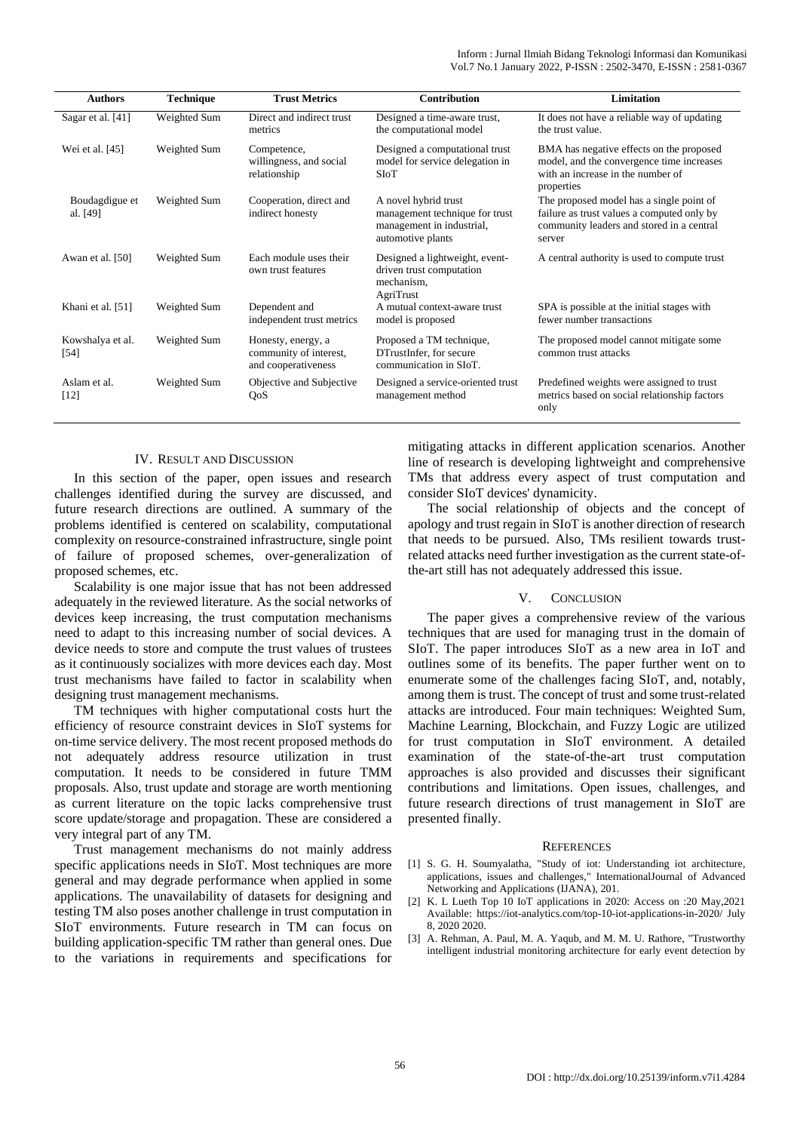| <b>Authors</b>             | <b>Technique</b> | <b>Trust Metrics</b>                                                | <b>Contribution</b>                                                                                      | Limitation                                                                                                                                    |
|----------------------------|------------------|---------------------------------------------------------------------|----------------------------------------------------------------------------------------------------------|-----------------------------------------------------------------------------------------------------------------------------------------------|
| Sagar et al. [41]          | Weighted Sum     | Direct and indirect trust<br>metrics                                | Designed a time-aware trust,<br>the computational model                                                  | It does not have a reliable way of updating<br>the trust value.                                                                               |
| Wei et al. [45]            | Weighted Sum     | Competence,<br>willingness, and social<br>relationship              | Designed a computational trust<br>model for service delegation in<br><b>SIoT</b>                         | BMA has negative effects on the proposed<br>model, and the convergence time increases<br>with an increase in the number of<br>properties      |
| Boudagdigue et<br>al. [49] | Weighted Sum     | Cooperation, direct and<br>indirect honesty                         | A novel hybrid trust<br>management technique for trust<br>management in industrial,<br>automotive plants | The proposed model has a single point of<br>failure as trust values a computed only by<br>community leaders and stored in a central<br>server |
| Awan et al. [50]           | Weighted Sum     | Each module uses their<br>own trust features                        | Designed a lightweight, event-<br>driven trust computation<br>mechanism,<br>AgriTrust                    | A central authority is used to compute trust                                                                                                  |
| Khani et al. [51]          | Weighted Sum     | Dependent and<br>independent trust metrics                          | A mutual context-aware trust<br>model is proposed                                                        | SPA is possible at the initial stages with<br>fewer number transactions                                                                       |
| Kowshalya et al.<br>$[54]$ | Weighted Sum     | Honesty, energy, a<br>community of interest,<br>and cooperativeness | Proposed a TM technique,<br>DTrustInfer, for secure<br>communication in SIoT.                            | The proposed model cannot mitigate some<br>common trust attacks                                                                               |
| Aslam et al.<br>$[12]$     | Weighted Sum     | Objective and Subjective<br>QoS                                     | Designed a service-oriented trust<br>management method                                                   | Predefined weights were assigned to trust<br>metrics based on social relationship factors<br>only                                             |

## IV. RESULT AND DISCUSSION

In this section of the paper, open issues and research challenges identified during the survey are discussed, and future research directions are outlined. A summary of the problems identified is centered on scalability, computational complexity on resource-constrained infrastructure, single point of failure of proposed schemes, over-generalization of proposed schemes, etc.

Scalability is one major issue that has not been addressed adequately in the reviewed literature. As the social networks of devices keep increasing, the trust computation mechanisms need to adapt to this increasing number of social devices. A device needs to store and compute the trust values of trustees as it continuously socializes with more devices each day. Most trust mechanisms have failed to factor in scalability when designing trust management mechanisms.

TM techniques with higher computational costs hurt the efficiency of resource constraint devices in SIoT systems for on-time service delivery. The most recent proposed methods do not adequately address resource utilization in trust computation. It needs to be considered in future TMM proposals. Also, trust update and storage are worth mentioning as current literature on the topic lacks comprehensive trust score update/storage and propagation. These are considered a very integral part of any TM.

Trust management mechanisms do not mainly address specific applications needs in SIoT. Most techniques are more general and may degrade performance when applied in some applications. The unavailability of datasets for designing and testing TM also poses another challenge in trust computation in SIoT environments. Future research in TM can focus on building application-specific TM rather than general ones. Due to the variations in requirements and specifications for

mitigating attacks in different application scenarios. Another line of research is developing lightweight and comprehensive TMs that address every aspect of trust computation and consider SIoT devices' dynamicity.

The social relationship of objects and the concept of apology and trust regain in SIoT is another direction of research that needs to be pursued. Also, TMs resilient towards trustrelated attacks need further investigation as the current state-ofthe-art still has not adequately addressed this issue.

#### V. CONCLUSION

The paper gives a comprehensive review of the various techniques that are used for managing trust in the domain of SIoT. The paper introduces SIoT as a new area in IoT and outlines some of its benefits. The paper further went on to enumerate some of the challenges facing SIoT, and, notably, among them is trust. The concept of trust and some trust-related attacks are introduced. Four main techniques: Weighted Sum, Machine Learning, Blockchain, and Fuzzy Logic are utilized for trust computation in SIoT environment. A detailed examination of the state-of-the-art trust computation approaches is also provided and discusses their significant contributions and limitations. Open issues, challenges, and future research directions of trust management in SIoT are presented finally.

#### **REFERENCES**

- [1] S. G. H. Soumyalatha, "Study of iot: Understanding iot architecture, applications, issues and challenges," InternationalJournal of Advanced Networking and Applications (IJANA), 201.
- [2] K. L Lueth Top 10 IoT applications in 2020: Access on :20 May,2021 Available: https://iot-analytics.com/top-10-iot-applications-in-2020/ July 8, 2020 2020.
- [3] A. Rehman, A. Paul, M. A. Yaqub, and M. M. U. Rathore, "Trustworthy intelligent industrial monitoring architecture for early event detection by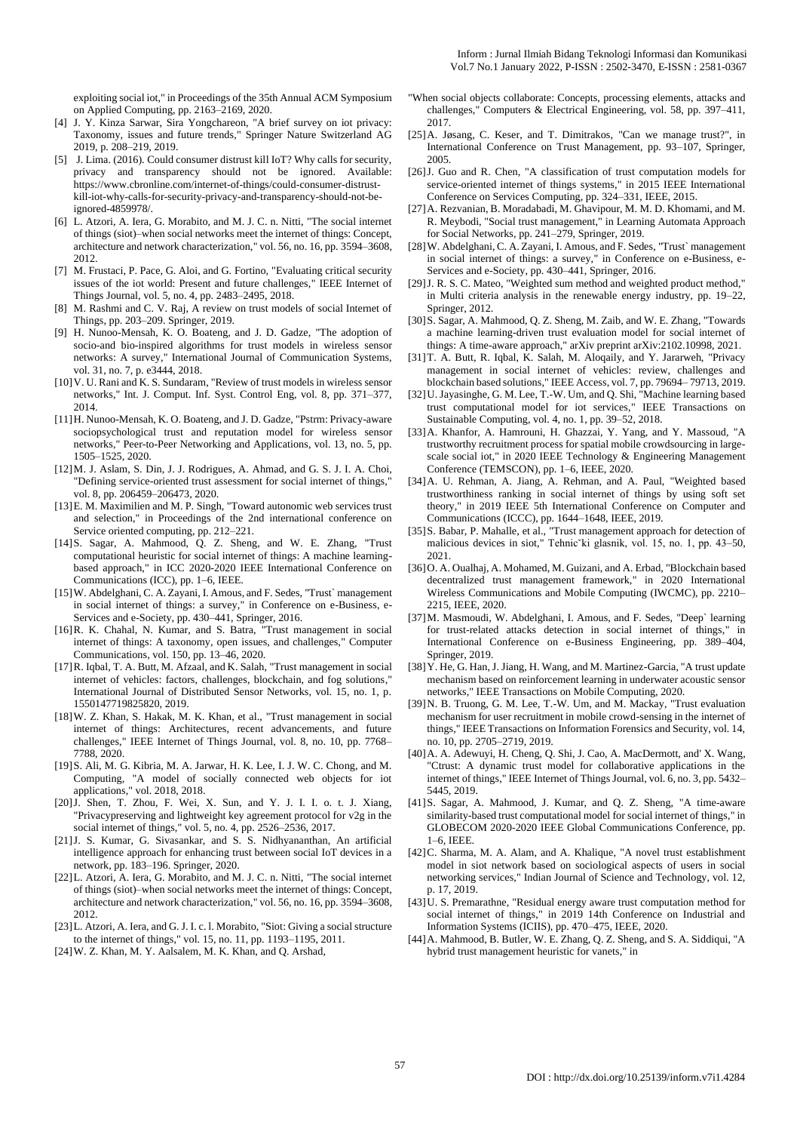exploiting social iot," in Proceedings of the 35th Annual ACM Symposium on Applied Computing, pp. 2163–2169, 2020.

- [4] J. Y. Kinza Sarwar, Sira Yongchareon, "A brief survey on iot privacy: Taxonomy, issues and future trends," Springer Nature Switzerland AG 2019, p. 208–219, 2019.
- [5] J. Lima. (2016). Could consumer distrust kill IoT? Why calls for security, privacy and transparency should not be ignored. Available: [https://www.cbronline.com/internet-of-things/could-consumer-distrust](https://www.cbronline.com/internet-of-things/could-consumer-distrust-kill-iot-why-calls-for-security-privacy-and-transparency-should-not-be-ignored-4859978/)[kill-iot-why-calls-for-security-privacy-and-transparency-should-not-be](https://www.cbronline.com/internet-of-things/could-consumer-distrust-kill-iot-why-calls-for-security-privacy-and-transparency-should-not-be-ignored-4859978/)[ignored-4859978/.](https://www.cbronline.com/internet-of-things/could-consumer-distrust-kill-iot-why-calls-for-security-privacy-and-transparency-should-not-be-ignored-4859978/)
- [6] L. Atzori, A. Iera, G. Morabito, and M. J. C. n. Nitti, "The social internet of things (siot)–when social networks meet the internet of things: Concept, architecture and network characterization," vol. 56, no. 16, pp. 3594–3608, 2012.
- [7] M. Frustaci, P. Pace, G. Aloi, and G. Fortino, "Evaluating critical security issues of the iot world: Present and future challenges," IEEE Internet of Things Journal, vol. 5, no. 4, pp. 2483–2495, 2018.
- [8] M. Rashmi and C. V. Raj, A review on trust models of social Internet of Things, pp. 203–209. Springer, 2019.
- [9] H. Nunoo-Mensah, K. O. Boateng, and J. D. Gadze, "The adoption of socio-and bio-inspired algorithms for trust models in wireless sensor networks: A survey," International Journal of Communication Systems, vol. 31, no. 7, p. e3444, 2018.
- [10]V. U. Rani and K. S. Sundaram, "Review of trust models in wireless sensor networks," Int. J. Comput. Inf. Syst. Control Eng, vol. 8, pp. 371–377, 2014.
- [11]H. Nunoo-Mensah, K. O. Boateng, and J. D. Gadze, "Pstrm: Privacy-aware sociopsychological trust and reputation model for wireless sensor networks," Peer-to-Peer Networking and Applications, vol. 13, no. 5, pp. 1505–1525, 2020.
- [12]M. J. Aslam, S. Din, J. J. Rodrigues, A. Ahmad, and G. S. J. I. A. Choi, "Defining service-oriented trust assessment for social internet of things," vol. 8, pp. 206459–206473, 2020.
- [13]E. M. Maximilien and M. P. Singh, "Toward autonomic web services trust and selection," in Proceedings of the 2nd international conference on Service oriented computing, pp. 212–221.
- [14]S. Sagar, A. Mahmood, Q. Z. Sheng, and W. E. Zhang, "Trust computational heuristic for social internet of things: A machine learningbased approach," in ICC 2020-2020 IEEE International Conference on Communications (ICC), pp. 1–6, IEEE.
- [15]W. Abdelghani, C. A. Zayani, I. Amous, and F. Sedes, "Trust` management in social internet of things: a survey," in Conference on e-Business, e-Services and e-Society, pp. 430–441, Springer, 2016.
- [16] R. K. Chahal, N. Kumar, and S. Batra, "Trust management in social internet of things: A taxonomy, open issues, and challenges," Computer Communications, vol. 150, pp. 13–46, 2020.
- [17]R. Iqbal, T. A. Butt, M. Afzaal, and K. Salah, "Trust management in social internet of vehicles: factors, challenges, blockchain, and fog solutions," International Journal of Distributed Sensor Networks, vol. 15, no. 1, p. 1550147719825820, 2019.
- [18]W. Z. Khan, S. Hakak, M. K. Khan, et al., "Trust management in social internet of things: Architectures, recent advancements, and future challenges," IEEE Internet of Things Journal, vol. 8, no. 10, pp. 7768– 7788, 2020.
- [19]S. Ali, M. G. Kibria, M. A. Jarwar, H. K. Lee, I. J. W. C. Chong, and M. Computing, "A model of socially connected web objects for iot applications," vol. 2018, 2018.
- [20]J. Shen, T. Zhou, F. Wei, X. Sun, and Y. J. I. I. o. t. J. Xiang, "Privacypreserving and lightweight key agreement protocol for v2g in the social internet of things," vol. 5, no. 4, pp. 2526–2536, 2017.
- [21]J. S. Kumar, G. Sivasankar, and S. S. Nidhyananthan, An artificial intelligence approach for enhancing trust between social IoT devices in a network, pp. 183–196. Springer, 2020.
- [22]L. Atzori, A. Iera, G. Morabito, and M. J. C. n. Nitti, "The social internet of things (siot)–when social networks meet the internet of things: Concept, architecture and network characterization," vol. 56, no. 16, pp. 3594–3608, 2012.
- [23]L. Atzori, A. Iera, and G. J. I. c. l. Morabito, "Siot: Giving a social structure to the internet of things," vol. 15, no. 11, pp. 1193–1195, 2011.
- [24]W. Z. Khan, M. Y. Aalsalem, M. K. Khan, and Q. Arshad,
- "When social objects collaborate: Concepts, processing elements, attacks and challenges," Computers & Electrical Engineering, vol. 58, pp. 397–411, 2017.
- [25]A. Jøsang, C. Keser, and T. Dimitrakos, "Can we manage trust?", in International Conference on Trust Management, pp. 93–107, Springer, 2005.
- [26]J. Guo and R. Chen, "A classification of trust computation models for service-oriented internet of things systems," in 2015 IEEE International Conference on Services Computing, pp. 324–331, IEEE, 2015.
- [27]A. Rezvanian, B. Moradabadi, M. Ghavipour, M. M. D. Khomami, and M. R. Meybodi, "Social trust management," in Learning Automata Approach for Social Networks, pp. 241–279, Springer, 2019.
- [28]W. Abdelghani, C. A. Zayani, I. Amous, and F. Sedes, "Trust` management in social internet of things: a survey," in Conference on e-Business, e-Services and e-Society, pp. 430–441, Springer, 2016.
- [29]J. R. S. C. Mateo, "Weighted sum method and weighted product method," in Multi criteria analysis in the renewable energy industry, pp. 19–22, Springer, 2012.
- [30]S. Sagar, A. Mahmood, Q. Z. Sheng, M. Zaib, and W. E. Zhang, "Towards a machine learning-driven trust evaluation model for social internet of things: A time-aware approach," arXiv preprint arXiv:2102.10998, 2021.
- [31]T. A. Butt, R. Iqbal, K. Salah, M. Aloqaily, and Y. Jararweh, "Privacy management in social internet of vehicles: review, challenges and blockchain based solutions," IEEE Access, vol. 7, pp. 79694– 79713, 2019.
- [32]U. Jayasinghe, G. M. Lee, T.-W. Um, and Q. Shi, "Machine learning based trust computational model for iot services," IEEE Transactions on Sustainable Computing, vol. 4, no. 1, pp. 39–52, 2018.
- [33]A. Khanfor, A. Hamrouni, H. Ghazzai, Y. Yang, and Y. Massoud, "A trustworthy recruitment process for spatial mobile crowdsourcing in largescale social iot," in 2020 IEEE Technology & Engineering Management Conference (TEMSCON), pp. 1–6, IEEE, 2020.
- [34]A. U. Rehman, A. Jiang, A. Rehman, and A. Paul, "Weighted based trustworthiness ranking in social internet of things by using soft set theory," in 2019 IEEE 5th International Conference on Computer and Communications (ICCC), pp. 1644–1648, IEEE, 2019.
- [35]S. Babar, P. Mahalle, et al., "Trust management approach for detection of malicious devices in siot," Tehnic ki glasnik, vol. 15, no. 1, pp. 43-50, 2021.
- [36]O. A. Oualhaj, A. Mohamed, M. Guizani, and A. Erbad, "Blockchain based decentralized trust management framework," in 2020 International Wireless Communications and Mobile Computing (IWCMC), pp. 2210– 2215, IEEE, 2020.
- [37]M. Masmoudi, W. Abdelghani, I. Amous, and F. Sedes, "Deep` learning for trust-related attacks detection in social internet of things," in International Conference on e-Business Engineering, pp. 389–404, Springer, 2019.
- [38]Y. He, G. Han, J. Jiang, H. Wang, and M. Martinez-Garcia, "A trust update mechanism based on reinforcement learning in underwater acoustic sensor networks," IEEE Transactions on Mobile Computing, 2020.
- [39]N. B. Truong, G. M. Lee, T.-W. Um, and M. Mackay, "Trust evaluation mechanism for user recruitment in mobile crowd-sensing in the internet of things," IEEE Transactions on Information Forensics and Security, vol. 14, no. 10, pp. 2705–2719, 2019.
- [40]A. A. Adewuyi, H. Cheng, Q. Shi, J. Cao, A. MacDermott, and' X. Wang, "Ctrust: A dynamic trust model for collaborative applications in the internet of things," IEEE Internet of Things Journal, vol. 6, no. 3, pp. 5432– 5445, 2019.
- [41]S. Sagar, A. Mahmood, J. Kumar, and Q. Z. Sheng, "A time-aware similarity-based trust computational model for social internet of things," in GLOBECOM 2020-2020 IEEE Global Communications Conference, pp. 1–6, IEEE.
- [42]C. Sharma, M. A. Alam, and A. Khalique, "A novel trust establishment model in siot network based on sociological aspects of users in social networking services," Indian Journal of Science and Technology, vol. 12, p. 17, 2019.
- [43]U. S. Premarathne, "Residual energy aware trust computation method for social internet of things," in 2019 14th Conference on Industrial and Information Systems (ICIIS), pp. 470–475, IEEE, 2020.
- [44] A. Mahmood, B. Butler, W. E. Zhang, Q. Z. Sheng, and S. A. Siddiqui, "A hybrid trust management heuristic for vanets," in